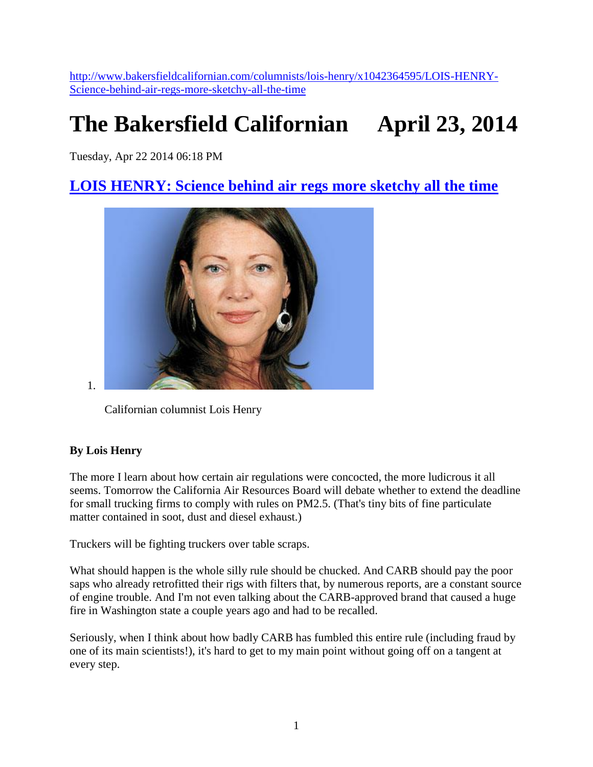[http://www.bakersfieldcalifornian.com/columnists/lois-henry/x1042364595/LOIS-HENRY-](http://www.bakersfieldcalifornian.com/columnists/lois-henry/x1042364595/LOIS-HENRY-Science-behind-air-regs-more-sketchy-all-the-time)[Science-behind-air-regs-more-sketchy-all-the-time](http://www.bakersfieldcalifornian.com/columnists/lois-henry/x1042364595/LOIS-HENRY-Science-behind-air-regs-more-sketchy-all-the-time)

## **The Bakersfield Californian April 23, 2014**

Tuesday, Apr 22 2014 06:18 PM

## **[LOIS HENRY: Science behind air regs more sketchy all the time](http://www.bakersfieldcalifornian.com/columnists/lois-henry/x1042364595/LOIS-HENRY-Science-behind-air-regs-more-sketchy-all-the-time)**



1.

Californian columnist Lois Henry

## **By Lois Henry**

The more I learn about how certain air regulations were concocted, the more ludicrous it all seems. Tomorrow the California Air Resources Board will debate whether to extend the deadline for small trucking firms to comply with rules on PM2.5. (That's tiny bits of fine particulate matter contained in soot, dust and diesel exhaust.)

Truckers will be fighting truckers over table scraps.

What should happen is the whole silly rule should be chucked. And CARB should pay the poor saps who already retrofitted their rigs with filters that, by numerous reports, are a constant source of engine trouble. And I'm not even talking about the CARB-approved brand that caused a huge fire in Washington state a couple years ago and had to be recalled.

Seriously, when I think about how badly CARB has fumbled this entire rule (including fraud by one of its main scientists!), it's hard to get to my main point without going off on a tangent at every step.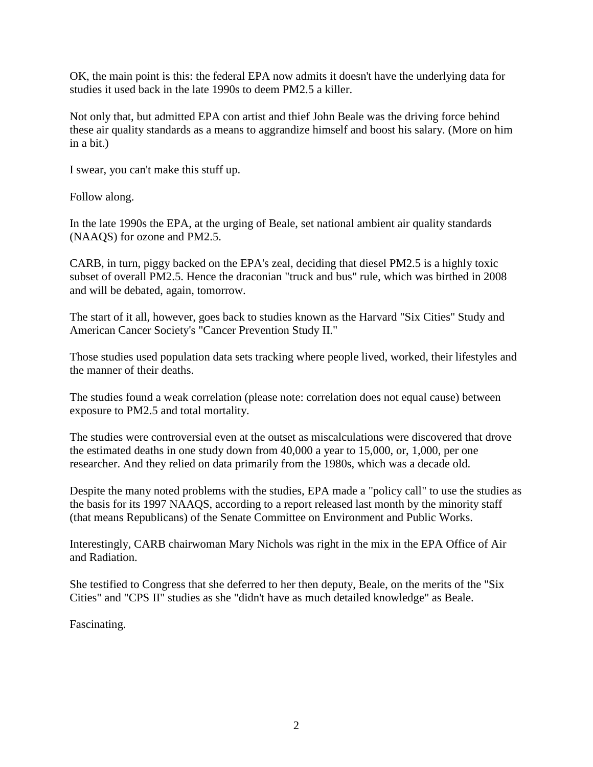OK, the main point is this: the federal EPA now admits it doesn't have the underlying data for studies it used back in the late 1990s to deem PM2.5 a killer.

Not only that, but admitted EPA con artist and thief John Beale was the driving force behind these air quality standards as a means to aggrandize himself and boost his salary. (More on him in a bit.)

I swear, you can't make this stuff up.

Follow along.

In the late 1990s the EPA, at the urging of Beale, set national ambient air quality standards (NAAQS) for ozone and PM2.5.

CARB, in turn, piggy backed on the EPA's zeal, deciding that diesel PM2.5 is a highly toxic subset of overall PM2.5. Hence the draconian "truck and bus" rule, which was birthed in 2008 and will be debated, again, tomorrow.

The start of it all, however, goes back to studies known as the Harvard "Six Cities" Study and American Cancer Society's "Cancer Prevention Study II."

Those studies used population data sets tracking where people lived, worked, their lifestyles and the manner of their deaths.

The studies found a weak correlation (please note: correlation does not equal cause) between exposure to PM2.5 and total mortality.

The studies were controversial even at the outset as miscalculations were discovered that drove the estimated deaths in one study down from 40,000 a year to 15,000, or, 1,000, per one researcher. And they relied on data primarily from the 1980s, which was a decade old.

Despite the many noted problems with the studies, EPA made a "policy call" to use the studies as the basis for its 1997 NAAQS, according to a report released last month by the minority staff (that means Republicans) of the Senate Committee on Environment and Public Works.

Interestingly, CARB chairwoman Mary Nichols was right in the mix in the EPA Office of Air and Radiation.

She testified to Congress that she deferred to her then deputy, Beale, on the merits of the "Six Cities" and "CPS II" studies as she "didn't have as much detailed knowledge" as Beale.

Fascinating.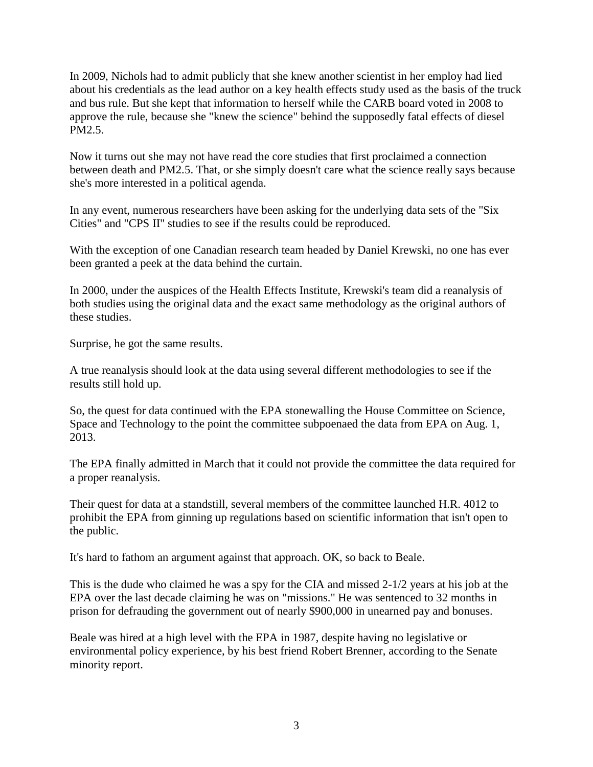In 2009, Nichols had to admit publicly that she knew another scientist in her employ had lied about his credentials as the lead author on a key health effects study used as the basis of the truck and bus rule. But she kept that information to herself while the CARB board voted in 2008 to approve the rule, because she "knew the science" behind the supposedly fatal effects of diesel PM2.5.

Now it turns out she may not have read the core studies that first proclaimed a connection between death and PM2.5. That, or she simply doesn't care what the science really says because she's more interested in a political agenda.

In any event, numerous researchers have been asking for the underlying data sets of the "Six Cities" and "CPS II" studies to see if the results could be reproduced.

With the exception of one Canadian research team headed by Daniel Krewski, no one has ever been granted a peek at the data behind the curtain.

In 2000, under the auspices of the Health Effects Institute, Krewski's team did a reanalysis of both studies using the original data and the exact same methodology as the original authors of these studies.

Surprise, he got the same results.

A true reanalysis should look at the data using several different methodologies to see if the results still hold up.

So, the quest for data continued with the EPA stonewalling the House Committee on Science, Space and Technology to the point the committee subpoenaed the data from EPA on Aug. 1, 2013.

The EPA finally admitted in March that it could not provide the committee the data required for a proper reanalysis.

Their quest for data at a standstill, several members of the committee launched H.R. 4012 to prohibit the EPA from ginning up regulations based on scientific information that isn't open to the public.

It's hard to fathom an argument against that approach. OK, so back to Beale.

This is the dude who claimed he was a spy for the CIA and missed 2-1/2 years at his job at the EPA over the last decade claiming he was on "missions." He was sentenced to 32 months in prison for defrauding the government out of nearly \$900,000 in unearned pay and bonuses.

Beale was hired at a high level with the EPA in 1987, despite having no legislative or environmental policy experience, by his best friend Robert Brenner, according to the Senate minority report.